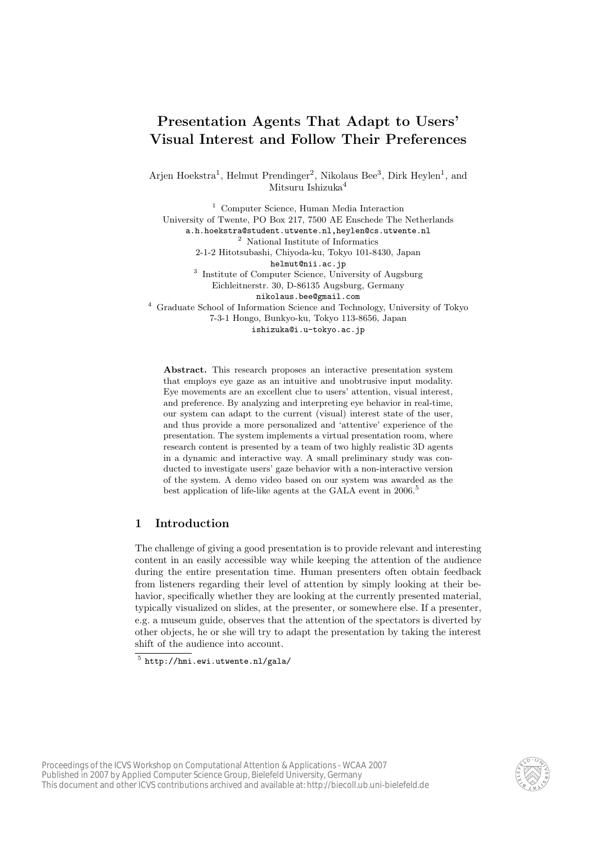# Presentation Agents That Adapt to Users' Visual Interest and Follow Their Preferences

Arjen Hoekstra<sup>1</sup>, Helmut Prendinger<sup>2</sup>, Nikolaus Bee<sup>3</sup>, Dirk Heylen<sup>1</sup>, and Mitsuru Ishizuka<sup>4</sup>

<sup>1</sup> Computer Science, Human Media Interaction University of Twente, PO Box 217, 7500 AE Enschede The Netherlands a.h.hoekstra@student.utwente.nl,heylen@cs.utwente.nl <sup>2</sup> National Institute of Informatics 2-1-2 Hitotsubashi, Chiyoda-ku, Tokyo 101-8430, Japan helmut@nii.ac.jp <sup>3</sup> Institute of Computer Science, University of Augsburg Eichleitnerstr. 30, D-86135 Augsburg, Germany nikolaus.bee@gmail.com <sup>4</sup> Graduate School of Information Science and Technology, University of Tokyo 7-3-1 Hongo, Bunkyo-ku, Tokyo 113-8656, Japan ishizuka@i.u-tokyo.ac.jp

Abstract. This research proposes an interactive presentation system that employs eye gaze as an intuitive and unobtrusive input modality. Eye movements are an excellent clue to users' attention, visual interest, and preference. By analyzing and interpreting eye behavior in real-time, our system can adapt to the current (visual) interest state of the user, and thus provide a more personalized and 'attentive' experience of the presentation. The system implements a virtual presentation room, where research content is presented by a team of two highly realistic 3D agents in a dynamic and interactive way. A small preliminary study was conducted to investigate users' gaze behavior with a non-interactive version of the system. A demo video based on our system was awarded as the best application of life-like agents at the GALA event in 2006.<sup>5</sup>

# 1 Introduction

The challenge of giving a good presentation is to provide relevant and interesting content in an easily accessible way while keeping the attention of the audience during the entire presentation time. Human presenters often obtain feedback from listeners regarding their level of attention by simply looking at their behavior, specifically whether they are looking at the currently presented material, typically visualized on slides, at the presenter, or somewhere else. If a presenter, e.g. a museum guide, observes that the attention of the spectators is diverted by other objects, he or she will try to adapt the presentation by taking the interest shift of the audience into account.



 $5$ http://hmi.ewi.utwente.nl/gala/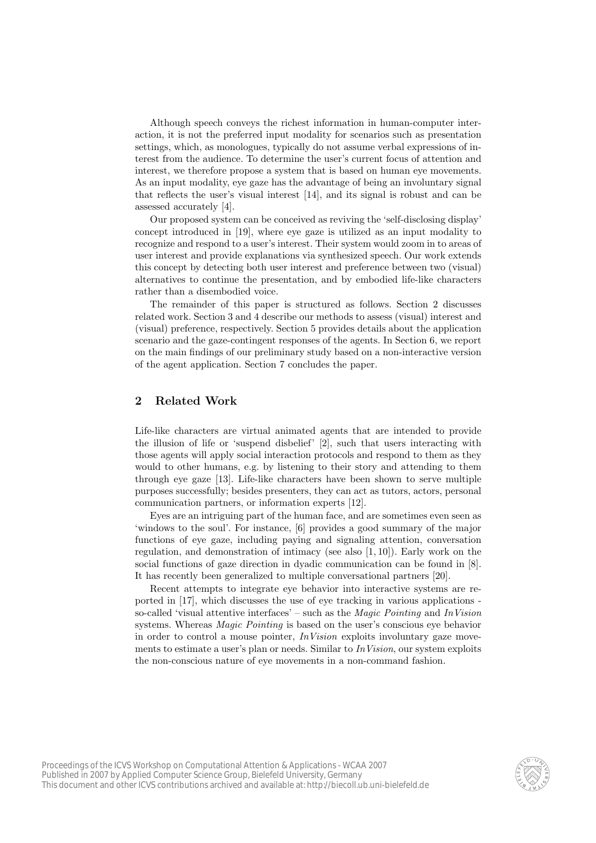Although speech conveys the richest information in human-computer interaction, it is not the preferred input modality for scenarios such as presentation settings, which, as monologues, typically do not assume verbal expressions of interest from the audience. To determine the user's current focus of attention and interest, we therefore propose a system that is based on human eye movements. As an input modality, eye gaze has the advantage of being an involuntary signal that reflects the user's visual interest [14], and its signal is robust and can be assessed accurately [4].

Our proposed system can be conceived as reviving the 'self-disclosing display' concept introduced in [19], where eye gaze is utilized as an input modality to recognize and respond to a user's interest. Their system would zoom in to areas of user interest and provide explanations via synthesized speech. Our work extends this concept by detecting both user interest and preference between two (visual) alternatives to continue the presentation, and by embodied life-like characters rather than a disembodied voice.

The remainder of this paper is structured as follows. Section 2 discusses related work. Section 3 and 4 describe our methods to assess (visual) interest and (visual) preference, respectively. Section 5 provides details about the application scenario and the gaze-contingent responses of the agents. In Section 6, we report on the main findings of our preliminary study based on a non-interactive version of the agent application. Section 7 concludes the paper.

## 2 Related Work

Life-like characters are virtual animated agents that are intended to provide the illusion of life or 'suspend disbelief' [2], such that users interacting with those agents will apply social interaction protocols and respond to them as they would to other humans, e.g. by listening to their story and attending to them through eye gaze [13]. Life-like characters have been shown to serve multiple purposes successfully; besides presenters, they can act as tutors, actors, personal communication partners, or information experts [12].

Eyes are an intriguing part of the human face, and are sometimes even seen as 'windows to the soul'. For instance, [6] provides a good summary of the major functions of eye gaze, including paying and signaling attention, conversation regulation, and demonstration of intimacy (see also  $[1, 10]$ ). Early work on the social functions of gaze direction in dyadic communication can be found in [8]. It has recently been generalized to multiple conversational partners [20].

Recent attempts to integrate eye behavior into interactive systems are reported in [17], which discusses the use of eye tracking in various applications so-called 'visual attentive interfaces' – such as the *Magic Pointing* and  $In Vision$ systems. Whereas *Magic Pointing* is based on the user's conscious eye behavior in order to control a mouse pointer,  $In Vision$  exploits involuntary gaze movements to estimate a user's plan or needs. Similar to  $In Vision$ , our system exploits the non-conscious nature of eye movements in a non-command fashion.

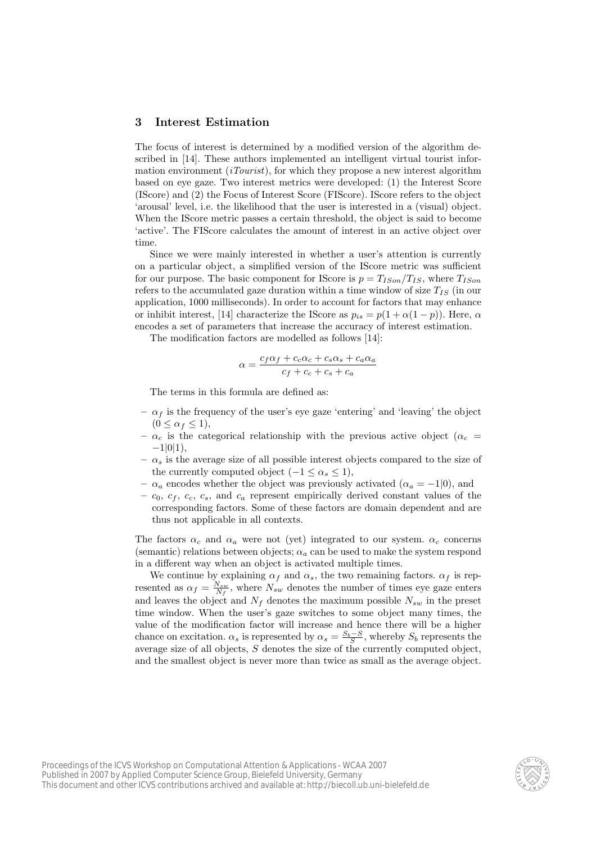#### 3 Interest Estimation

The focus of interest is determined by a modified version of the algorithm described in [14]. These authors implemented an intelligent virtual tourist information environment *(iTourist)*, for which they propose a new interest algorithm based on eye gaze. Two interest metrics were developed: (1) the Interest Score (IScore) and (2) the Focus of Interest Score (FIScore). IScore refers to the object 'arousal' level, i.e. the likelihood that the user is interested in a (visual) object. When the IScore metric passes a certain threshold, the object is said to become 'active'. The FIScore calculates the amount of interest in an active object over time.

Since we were mainly interested in whether a user's attention is currently on a particular object, a simplified version of the IScore metric was sufficient for our purpose. The basic component for IScore is  $p = T_{ISon}/T_{IS}$ , where  $T_{ISon}$ refers to the accumulated gaze duration within a time window of size  $T_{IS}$  (in our application, 1000 milliseconds). In order to account for factors that may enhance or inhibit interest, [14] characterize the IScore as  $p_{is} = p(1 + \alpha(1 - p))$ . Here,  $\alpha$ encodes a set of parameters that increase the accuracy of interest estimation.

The modification factors are modelled as follows [14]:

$$
\alpha = \frac{c_f \alpha_f + c_c \alpha_c + c_s \alpha_s + c_a \alpha_a}{c_f + c_c + c_s + c_a}
$$

The terms in this formula are defined as:

- $-\alpha_f$  is the frequency of the user's eye gaze 'entering' and 'leaving' the object  $(0 \leq \alpha_f \leq 1),$
- $-\alpha_c$  is the categorical relationship with the previous active object ( $\alpha_c$  =  $-1|0|1),$
- $-\alpha_s$  is the average size of all possible interest objects compared to the size of the currently computed object  $(-1 \leq \alpha_s \leq 1)$ ,
- $\alpha_a$  encodes whether the object was previously activated ( $\alpha_a = -1|0$ ), and
- $c_0, c_f, c_c, c_s$ , and  $c_a$  represent empirically derived constant values of the corresponding factors. Some of these factors are domain dependent and are thus not applicable in all contexts.

The factors  $\alpha_c$  and  $\alpha_a$  were not (yet) integrated to our system.  $\alpha_c$  concerns (semantic) relations between objects;  $\alpha_a$  can be used to make the system respond in a different way when an object is activated multiple times.

We continue by explaining  $\alpha_f$  and  $\alpha_s$ , the two remaining factors.  $\alpha_f$  is represented as  $\alpha_f = \frac{N_{sw}}{N_f}$ , where  $N_{sw}$  denotes the number of times eye gaze enters and leaves the object and  $N_f$  denotes the maximum possible  $N_{sw}$  in the preset time window. When the user's gaze switches to some object many times, the value of the modification factor will increase and hence there will be a higher chance on excitation.  $\alpha_s$  is represented by  $\alpha_s = \frac{S_b - S}{S}$ , whereby  $S_b$  represents the average size of all objects, S denotes the size of the currently computed object, and the smallest object is never more than twice as small as the average object.

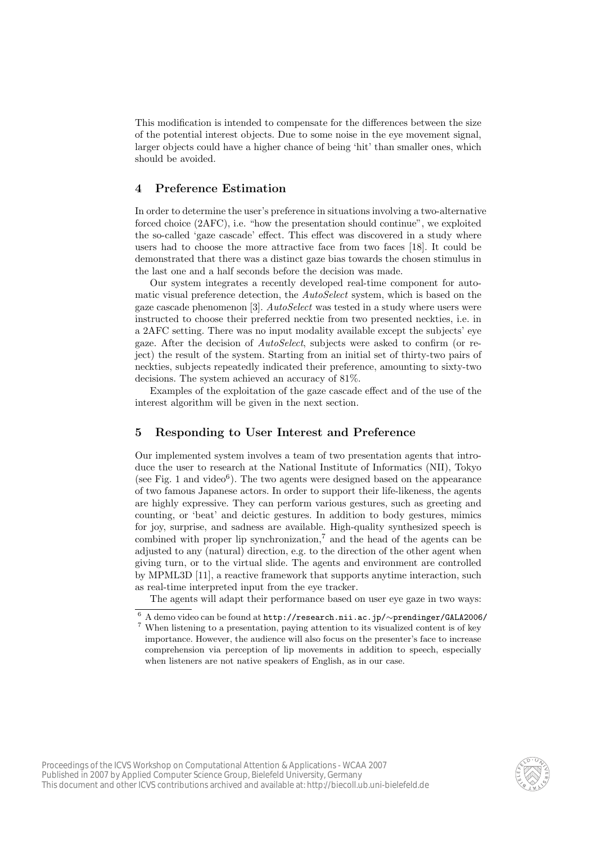This modification is intended to compensate for the differences between the size of the potential interest objects. Due to some noise in the eye movement signal, larger objects could have a higher chance of being 'hit' than smaller ones, which should be avoided.

#### 4 Preference Estimation

In order to determine the user's preference in situations involving a two-alternative forced choice (2AFC), i.e. "how the presentation should continue", we exploited the so-called 'gaze cascade' effect. This effect was discovered in a study where users had to choose the more attractive face from two faces [18]. It could be demonstrated that there was a distinct gaze bias towards the chosen stimulus in the last one and a half seconds before the decision was made.

Our system integrates a recently developed real-time component for automatic visual preference detection, the *AutoSelect* system, which is based on the gaze cascade phenomenon [3]. AutoSelect was tested in a study where users were instructed to choose their preferred necktie from two presented neckties, i.e. in a 2AFC setting. There was no input modality available except the subjects' eye gaze. After the decision of  $AutoSelect$ , subjects were asked to confirm (or reject) the result of the system. Starting from an initial set of thirty-two pairs of neckties, subjects repeatedly indicated their preference, amounting to sixty-two decisions. The system achieved an accuracy of 81%.

Examples of the exploitation of the gaze cascade effect and of the use of the interest algorithm will be given in the next section.

#### 5 Responding to User Interest and Preference

Our implemented system involves a team of two presentation agents that introduce the user to research at the National Institute of Informatics (NII), Tokyo (see Fig. 1 and video<sup>6</sup>). The two agents were designed based on the appearance of two famous Japanese actors. In order to support their life-likeness, the agents are highly expressive. They can perform various gestures, such as greeting and counting, or 'beat' and deictic gestures. In addition to body gestures, mimics for joy, surprise, and sadness are available. High-quality synthesized speech is combined with proper lip synchronization,<sup>7</sup> and the head of the agents can be adjusted to any (natural) direction, e.g. to the direction of the other agent when giving turn, or to the virtual slide. The agents and environment are controlled by MPML3D [11], a reactive framework that supports anytime interaction, such as real-time interpreted input from the eye tracker.

The agents will adapt their performance based on user eye gaze in two ways:



<sup>6</sup> A demo video can be found at http://research.nii.ac.jp/∼prendinger/GALA2006/  $^7$  When listening to a presentation, paying attention to its visualized content is of key  $\,$ importance. However, the audience will also focus on the presenter's face to increase comprehension via perception of lip movements in addition to speech, especially when listeners are not native speakers of English, as in our case.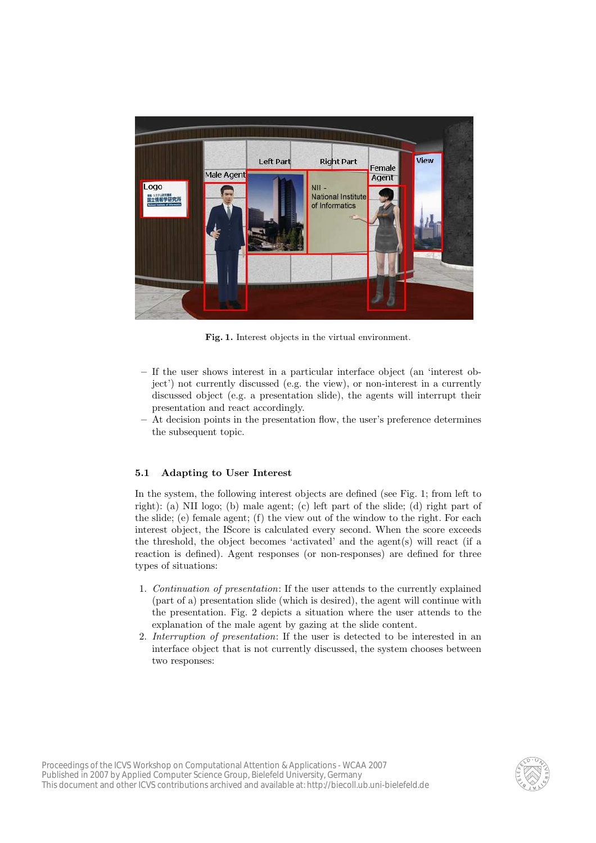

Fig. 1. Interest objects in the virtual environment.

- If the user shows interest in a particular interface object (an 'interest object') not currently discussed (e.g. the view), or non-interest in a currently discussed object (e.g. a presentation slide), the agents will interrupt their presentation and react accordingly.
- At decision points in the presentation flow, the user's preference determines the subsequent topic.

#### 5.1 Adapting to User Interest

In the system, the following interest objects are defined (see Fig. 1; from left to right): (a) NII logo; (b) male agent; (c) left part of the slide; (d) right part of the slide; (e) female agent; (f) the view out of the window to the right. For each interest object, the IScore is calculated every second. When the score exceeds the threshold, the object becomes 'activated' and the agent(s) will react (if a reaction is defined). Agent responses (or non-responses) are defined for three types of situations:

- 1. Continuation of presentation: If the user attends to the currently explained (part of a) presentation slide (which is desired), the agent will continue with the presentation. Fig. 2 depicts a situation where the user attends to the explanation of the male agent by gazing at the slide content.
- 2. Interruption of presentation: If the user is detected to be interested in an interface object that is not currently discussed, the system chooses between two responses:

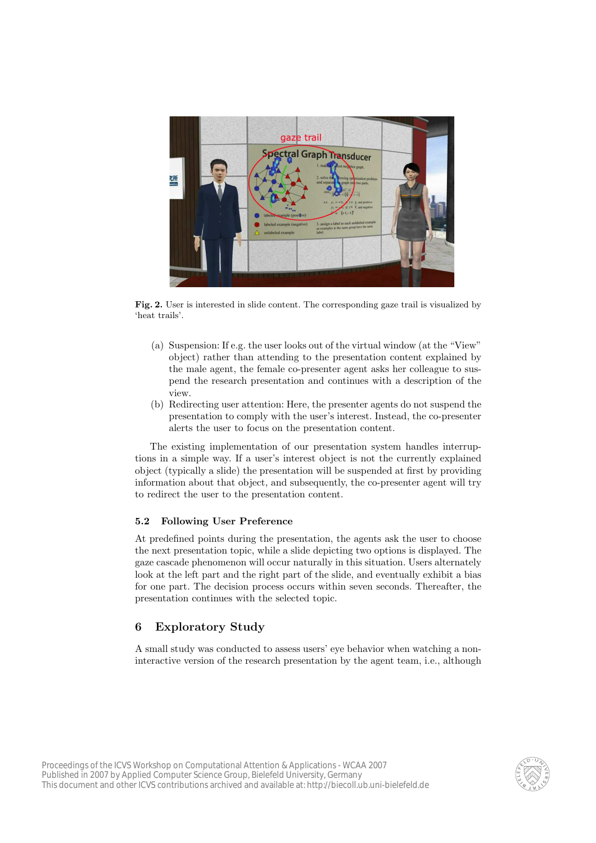

Fig. 2. User is interested in slide content. The corresponding gaze trail is visualized by 'heat trails'.

- (a) Suspension: If e.g. the user looks out of the virtual window (at the "View" object) rather than attending to the presentation content explained by the male agent, the female co-presenter agent asks her colleague to suspend the research presentation and continues with a description of the view.
- (b) Redirecting user attention: Here, the presenter agents do not suspend the presentation to comply with the user's interest. Instead, the co-presenter alerts the user to focus on the presentation content.

The existing implementation of our presentation system handles interruptions in a simple way. If a user's interest object is not the currently explained object (typically a slide) the presentation will be suspended at first by providing information about that object, and subsequently, the co-presenter agent will try to redirect the user to the presentation content.

#### 5.2 Following User Preference

At predefined points during the presentation, the agents ask the user to choose the next presentation topic, while a slide depicting two options is displayed. The gaze cascade phenomenon will occur naturally in this situation. Users alternately look at the left part and the right part of the slide, and eventually exhibit a bias for one part. The decision process occurs within seven seconds. Thereafter, the presentation continues with the selected topic.

# 6 Exploratory Study

A small study was conducted to assess users' eye behavior when watching a noninteractive version of the research presentation by the agent team, i.e., although

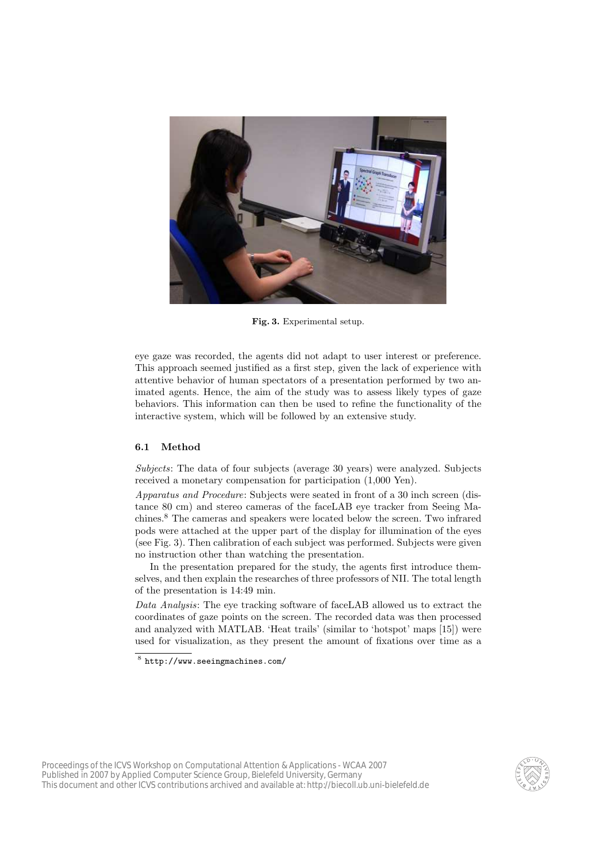

Fig. 3. Experimental setup.

eye gaze was recorded, the agents did not adapt to user interest or preference. This approach seemed justified as a first step, given the lack of experience with attentive behavior of human spectators of a presentation performed by two animated agents. Hence, the aim of the study was to assess likely types of gaze behaviors. This information can then be used to refine the functionality of the interactive system, which will be followed by an extensive study.

#### 6.1 Method

Subjects: The data of four subjects (average 30 years) were analyzed. Subjects received a monetary compensation for participation (1,000 Yen).

Apparatus and Procedure: Subjects were seated in front of a 30 inch screen (distance 80 cm) and stereo cameras of the faceLAB eye tracker from Seeing Machines.<sup>8</sup> The cameras and speakers were located below the screen. Two infrared pods were attached at the upper part of the display for illumination of the eyes (see Fig. 3). Then calibration of each subject was performed. Subjects were given no instruction other than watching the presentation.

In the presentation prepared for the study, the agents first introduce themselves, and then explain the researches of three professors of NII. The total length of the presentation is 14:49 min.

Data Analysis: The eye tracking software of faceLAB allowed us to extract the coordinates of gaze points on the screen. The recorded data was then processed and analyzed with MATLAB. 'Heat trails' (similar to 'hotspot' maps [15]) were used for visualization, as they present the amount of fixations over time as a



 $8$  http://www.seeingmachines.com/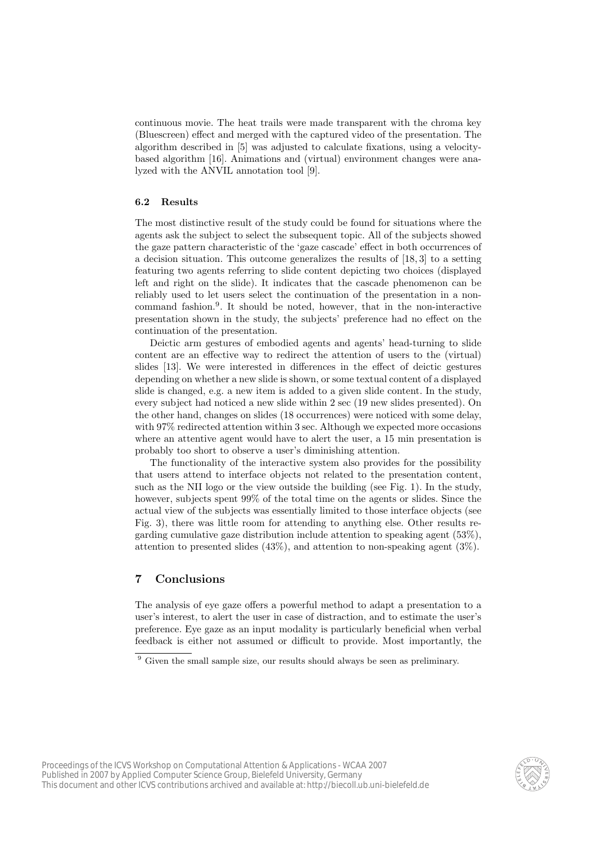continuous movie. The heat trails were made transparent with the chroma key (Bluescreen) effect and merged with the captured video of the presentation. The algorithm described in [5] was adjusted to calculate fixations, using a velocitybased algorithm [16]. Animations and (virtual) environment changes were analyzed with the ANVIL annotation tool [9].

#### 6.2 Results

The most distinctive result of the study could be found for situations where the agents ask the subject to select the subsequent topic. All of the subjects showed the gaze pattern characteristic of the 'gaze cascade' effect in both occurrences of a decision situation. This outcome generalizes the results of [18, 3] to a setting featuring two agents referring to slide content depicting two choices (displayed left and right on the slide). It indicates that the cascade phenomenon can be reliably used to let users select the continuation of the presentation in a noncommand fashion.<sup>9</sup> . It should be noted, however, that in the non-interactive presentation shown in the study, the subjects' preference had no effect on the continuation of the presentation.

Deictic arm gestures of embodied agents and agents' head-turning to slide content are an effective way to redirect the attention of users to the (virtual) slides [13]. We were interested in differences in the effect of deictic gestures depending on whether a new slide is shown, or some textual content of a displayed slide is changed, e.g. a new item is added to a given slide content. In the study, every subject had noticed a new slide within 2 sec (19 new slides presented). On the other hand, changes on slides (18 occurrences) were noticed with some delay, with 97% redirected attention within 3 sec. Although we expected more occasions where an attentive agent would have to alert the user, a 15 min presentation is probably too short to observe a user's diminishing attention.

The functionality of the interactive system also provides for the possibility that users attend to interface objects not related to the presentation content, such as the NII logo or the view outside the building (see Fig. 1). In the study, however, subjects spent 99% of the total time on the agents or slides. Since the actual view of the subjects was essentially limited to those interface objects (see Fig. 3), there was little room for attending to anything else. Other results regarding cumulative gaze distribution include attention to speaking agent (53%), attention to presented slides (43%), and attention to non-speaking agent (3%).

## 7 Conclusions

The analysis of eye gaze offers a powerful method to adapt a presentation to a user's interest, to alert the user in case of distraction, and to estimate the user's preference. Eye gaze as an input modality is particularly beneficial when verbal feedback is either not assumed or difficult to provide. Most importantly, the



<sup>9</sup> Given the small sample size, our results should always be seen as preliminary.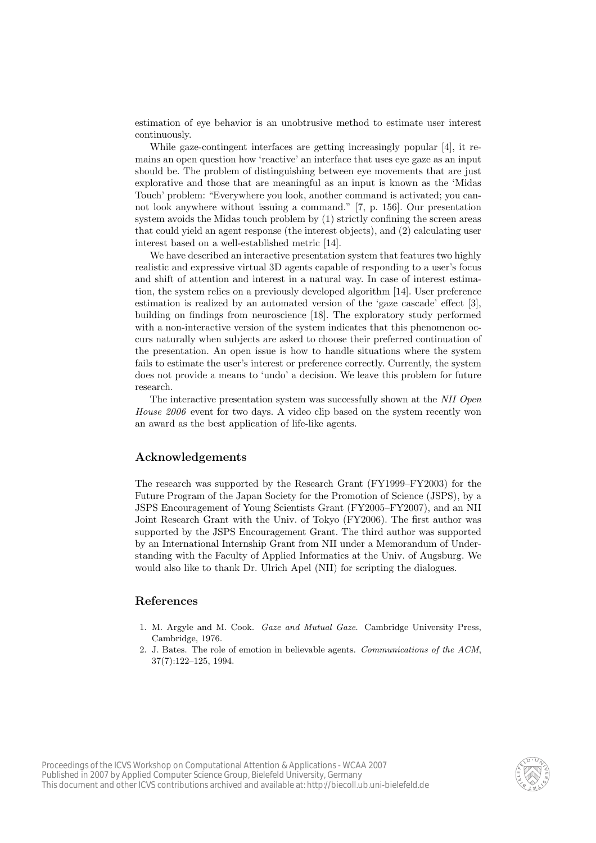estimation of eye behavior is an unobtrusive method to estimate user interest continuously.

While gaze-contingent interfaces are getting increasingly popular [4], it remains an open question how 'reactive' an interface that uses eye gaze as an input should be. The problem of distinguishing between eye movements that are just explorative and those that are meaningful as an input is known as the 'Midas Touch' problem: "Everywhere you look, another command is activated; you cannot look anywhere without issuing a command." [7, p. 156]. Our presentation system avoids the Midas touch problem by (1) strictly confining the screen areas that could yield an agent response (the interest objects), and (2) calculating user interest based on a well-established metric [14].

We have described an interactive presentation system that features two highly realistic and expressive virtual 3D agents capable of responding to a user's focus and shift of attention and interest in a natural way. In case of interest estimation, the system relies on a previously developed algorithm [14]. User preference estimation is realized by an automated version of the 'gaze cascade' effect [3], building on findings from neuroscience [18]. The exploratory study performed with a non-interactive version of the system indicates that this phenomenon occurs naturally when subjects are asked to choose their preferred continuation of the presentation. An open issue is how to handle situations where the system fails to estimate the user's interest or preference correctly. Currently, the system does not provide a means to 'undo' a decision. We leave this problem for future research.

The interactive presentation system was successfully shown at the NII Open House 2006 event for two days. A video clip based on the system recently won an award as the best application of life-like agents.

## Acknowledgements

The research was supported by the Research Grant (FY1999–FY2003) for the Future Program of the Japan Society for the Promotion of Science (JSPS), by a JSPS Encouragement of Young Scientists Grant (FY2005–FY2007), and an NII Joint Research Grant with the Univ. of Tokyo (FY2006). The first author was supported by the JSPS Encouragement Grant. The third author was supported by an International Internship Grant from NII under a Memorandum of Understanding with the Faculty of Applied Informatics at the Univ. of Augsburg. We would also like to thank Dr. Ulrich Apel (NII) for scripting the dialogues.

#### References

- 1. M. Argyle and M. Cook. Gaze and Mutual Gaze. Cambridge University Press, Cambridge, 1976.
- 2. J. Bates. The role of emotion in believable agents. Communications of the ACM, 37(7):122–125, 1994.